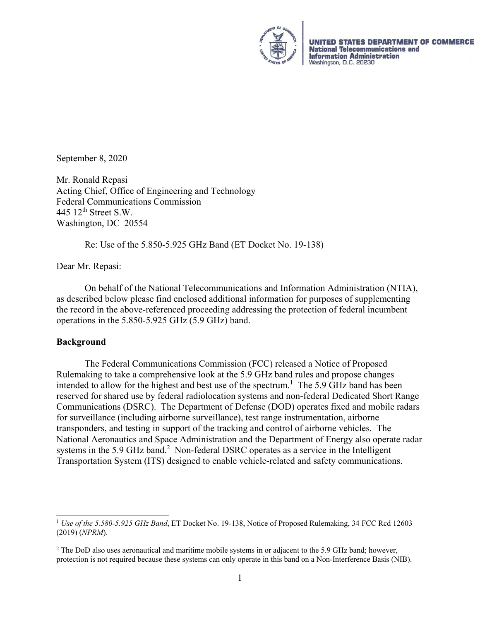

**ITES DEPARTMENT OF COMMERCE UNITED ST National Telecommunications and Information Administration** Washington, D.C. 20230

September 8, 2020

Mr. Ronald Repasi Acting Chief, Office of Engineering and Technology Federal Communications Commission 445  $12<sup>th</sup>$  Street S.W. Washington, DC 20554

#### Re: Use of the 5.850-5.925 GHz Band (ET Docket No. 19-138)

Dear Mr. Repasi:

On behalf of the National Telecommunications and Information Administration (NTIA), as described below please find enclosed additional information for purposes of supplementing the record in the above-referenced proceeding addressing the protection of federal incumbent operations in the 5.850-5.925 GHz (5.9 GHz) band.

#### **Background**

 The Federal Communications Commission (FCC) released a Notice of Proposed Rulemaking to take a comprehensive look at the 5.9 GHz band rules and propose changes intended to allow for the highest and best use of the spectrum.<sup>1</sup> The 5.9 GHz band has been reserved for shared use by federal radiolocation systems and non-federal Dedicated Short Range Communications (DSRC). The Department of Defense (DOD) operates fixed and mobile radars for surveillance (including airborne surveillance), test range instrumentation, airborne transponders, and testing in support of the tracking and control of airborne vehicles. The National Aeronautics and Space Administration and the Department of Energy also operate radar systems in the 5.9 GHz band.<sup>2</sup> Non-federal DSRC operates as a service in the Intelligent Transportation System (ITS) designed to enable vehicle-related and safety communications.

<sup>1</sup> *Use of the 5.580-5.925 GHz Band*, ET Docket No. 19-138, Notice of Proposed Rulemaking, 34 FCC Rcd 12603 (2019) (*NPRM*).

<sup>&</sup>lt;sup>2</sup> The DoD also uses aeronautical and maritime mobile systems in or adjacent to the 5.9 GHz band; however, protection is not required because these systems can only operate in this band on a Non-Interference Basis (NIB).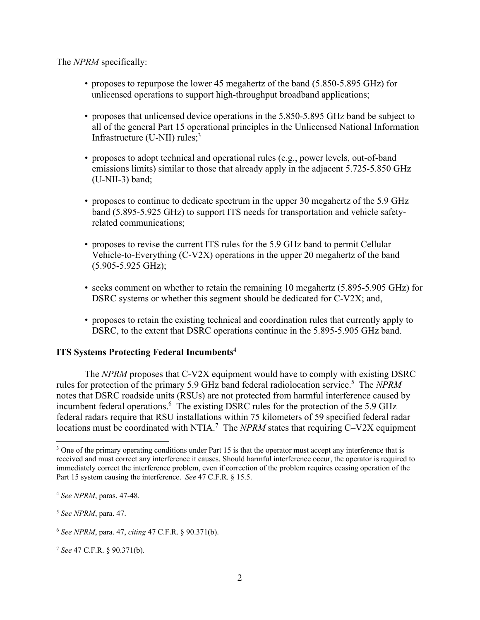The *NPRM* specifically:

- proposes to repurpose the lower 45 megahertz of the band (5.850-5.895 GHz) for unlicensed operations to support high-throughput broadband applications;
- proposes that unlicensed device operations in the 5.850-5.895 GHz band be subject to all of the general Part 15 operational principles in the Unlicensed National Information Infrastructure (U-NII) rules; $3$
- proposes to adopt technical and operational rules (e.g., power levels, out-of-band emissions limits) similar to those that already apply in the adjacent 5.725-5.850 GHz (U-NII-3) band;
- proposes to continue to dedicate spectrum in the upper 30 megahertz of the 5.9 GHz band (5.895-5.925 GHz) to support ITS needs for transportation and vehicle safetyrelated communications;
- proposes to revise the current ITS rules for the 5.9 GHz band to permit Cellular Vehicle-to-Everything (C-V2X) operations in the upper 20 megahertz of the band (5.905-5.925 GHz);
- seeks comment on whether to retain the remaining 10 megahertz (5.895-5.905 GHz) for DSRC systems or whether this segment should be dedicated for C-V2X; and,
- proposes to retain the existing technical and coordination rules that currently apply to DSRC, to the extent that DSRC operations continue in the 5.895-5.905 GHz band.

#### **ITS Systems Protecting Federal Incumbents**<sup>4</sup>

The *NPRM* proposes that C-V2X equipment would have to comply with existing DSRC rules for protection of the primary 5.9 GHz band federal radiolocation service.<sup>5</sup> The NPRM notes that DSRC roadside units (RSUs) are not protected from harmful interference caused by incumbent federal operations.<sup>6</sup> The existing DSRC rules for the protection of the 5.9 GHz federal radars require that RSU installations within 75 kilometers of 59 specified federal radar locations must be coordinated with NTIA.<sup>7</sup> The *NPRM* states that requiring C-V2X equipment

<sup>&</sup>lt;sup>3</sup> One of the primary operating conditions under Part 15 is that the operator must accept any interference that is received and must correct any interference it causes. Should harmful interference occur, the operator is required to immediately correct the interference problem, even if correction of the problem requires ceasing operation of the Part 15 system causing the interference. *See* 47 C.F.R. § 15.5.

<sup>4</sup> *See NPRM*, paras. 47-48.

<sup>5</sup> *See NPRM*, para. 47.

<sup>6</sup> *See NPRM*, para. 47, *citing* 47 C.F.R. § 90.371(b).

<sup>7</sup> *See* 47 C.F.R. § 90.371(b).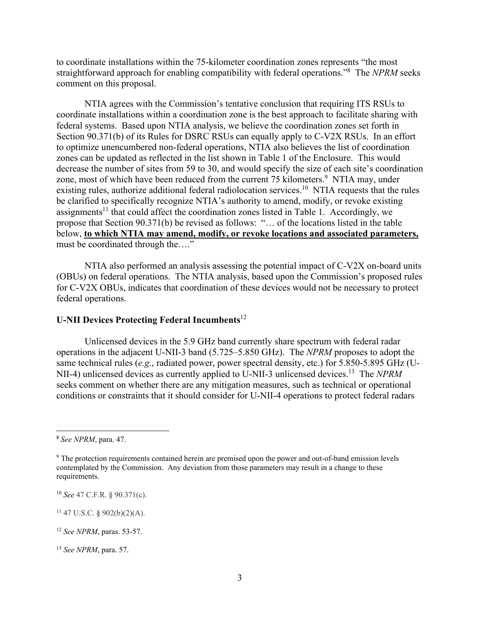to coordinate installations within the 75-kilometer coordination zones represents "the most straightforward approach for enabling compatibility with federal operations."8 The *NPRM* seeks comment on this proposal.

NTIA agrees with the Commission's tentative conclusion that requiring ITS RSUs to coordinate installations within a coordination zone is the best approach to facilitate sharing with federal systems. Based upon NTIA analysis, we believe the coordination zones set forth in Section 90.371(b) of its Rules for DSRC RSUs can equally apply to C-V2X RSUs. In an effort to optimize unencumbered non-federal operations, NTIA also believes the list of coordination zones can be updated as reflected in the list shown in Table 1 of the Enclosure. This would decrease the number of sites from 59 to 30, and would specify the size of each site's coordination zone, most of which have been reduced from the current 75 kilometers.<sup>9</sup> NTIA may, under existing rules, authorize additional federal radiolocation services.<sup>10</sup> NTIA requests that the rules be clarified to specifically recognize NTIA's authority to amend, modify, or revoke existing assignments<sup>11</sup> that could affect the coordination zones listed in Table 1. Accordingly, we propose that Section 90.371(b) be revised as follows: "… of the locations listed in the table below, **to which NTIA may amend, modify, or revoke locations and associated parameters,** must be coordinated through the...."

NTIA also performed an analysis assessing the potential impact of C-V2X on-board units (OBUs) on federal operations. The NTIA analysis, based upon the Commission's proposed rules for C-V2X OBUs, indicates that coordination of these devices would not be necessary to protect federal operations.

### **U-NII Devices Protecting Federal Incumbents**<sup>12</sup>

Unlicensed devices in the 5.9 GHz band currently share spectrum with federal radar operations in the adjacent U-NII-3 band (5.725–5.850 GHz). The *NPRM* proposes to adopt the same technical rules (*e.g.*, radiated power, power spectral density, etc.) for 5.850-5.895 GHz (U-NII-4) unlicensed devices as currently applied to U-NII-3 unlicensed devices.13 The *NPRM* seeks comment on whether there are any mitigation measures, such as technical or operational conditions or constraints that it should consider for U-NII-4 operations to protect federal radars

<sup>10</sup> *See* 47 C.F.R. § 90.371(c).

 $11$  47 U.S.C. § 902(b)(2)(A).

<sup>8</sup> *See NPRM*, para. 47.

<sup>&</sup>lt;sup>9</sup> The protection requirements contained herein are premised upon the power and out-of-band emission levels contemplated by the Commission. Any deviation from those parameters may result in a change to these requirements.

<sup>12</sup> *See NPRM*, paras. 53-57.

<sup>13</sup> *See NPRM*, para. 57.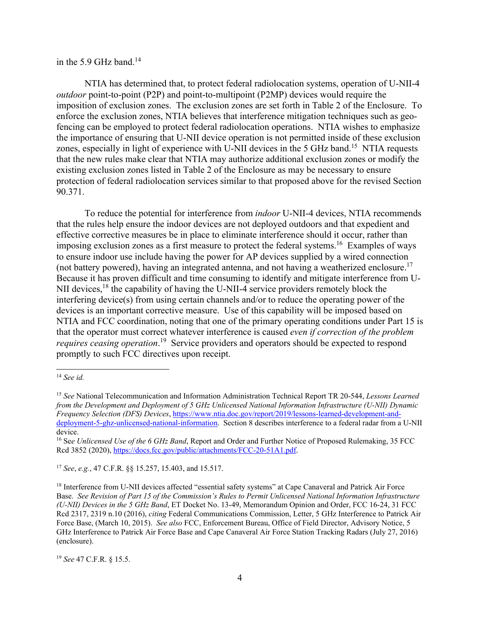#### in the 5.9 GHz band.<sup>14</sup>

NTIA has determined that, to protect federal radiolocation systems, operation of U-NII-4 *outdoor* point-to-point (P2P) and point-to-multipoint (P2MP) devices would require the imposition of exclusion zones. The exclusion zones are set forth in Table 2 of the Enclosure. To enforce the exclusion zones, NTIA believes that interference mitigation techniques such as geofencing can be employed to protect federal radiolocation operations. NTIA wishes to emphasize the importance of ensuring that U-NII device operation is not permitted inside of these exclusion zones, especially in light of experience with U-NII devices in the 5 GHz band.<sup>15</sup> NTIA requests that the new rules make clear that NTIA may authorize additional exclusion zones or modify the existing exclusion zones listed in Table 2 of the Enclosure as may be necessary to ensure protection of federal radiolocation services similar to that proposed above for the revised Section 90.371.

To reduce the potential for interference from *indoor* U-NII-4 devices, NTIA recommends that the rules help ensure the indoor devices are not deployed outdoors and that expedient and effective corrective measures be in place to eliminate interference should it occur, rather than imposing exclusion zones as a first measure to protect the federal systems.<sup>16</sup> Examples of ways to ensure indoor use include having the power for AP devices supplied by a wired connection (not battery powered), having an integrated antenna, and not having a weatherized enclosure.<sup>17</sup> Because it has proven difficult and time consuming to identify and mitigate interference from U-NII devices,<sup>18</sup> the capability of having the U-NII-4 service providers remotely block the interfering device(s) from using certain channels and/or to reduce the operating power of the devices is an important corrective measure. Use of this capability will be imposed based on NTIA and FCC coordination, noting that one of the primary operating conditions under Part 15 is that the operator must correct whatever interference is caused *even if correction of the problem requires ceasing operation*.<sup>19</sup> Service providers and operators should be expected to respond promptly to such FCC directives upon receipt.

<sup>17</sup> *See*, *e.g.*, 47 C.F.R. §§ 15.257, 15.403, and 15.517.

<sup>18</sup> Interference from U-NII devices affected "essential safety systems" at Cape Canaveral and Patrick Air Force Base. *See Revision of Part 15 of the Commission's Rules to Permit Unlicensed National Information Infrastructure (U-NII) Devices in the 5 GHz Band*, ET Docket No. 13-49, Memorandum Opinion and Order, FCC 16-24, 31 FCC Rcd 2317, 2319 n.10 (2016), *citing* Federal Communications Commission, Letter, 5 GHz Interference to Patrick Air Force Base, (March 10, 2015). *See also* FCC, Enforcement Bureau, Office of Field Director, Advisory Notice, 5 GHz Interference to Patrick Air Force Base and Cape Canaveral Air Force Station Tracking Radars (July 27, 2016) (enclosure).

<sup>19</sup> *See* 47 C.F.R. § 15.5.

<sup>14</sup> *See id.* 

<sup>15</sup> *See* National Telecommunication and Information Administration Technical Report TR 20-544, *Lessons Learned from the Development and Deployment of 5 GHz Unlicensed National Information Infrastructure (U-NII) Dynamic Frequency Selection (DFS) Devices*, https://www.ntia.doc.gov/report/2019/lessons-learned-development-anddeployment-5-ghz-unlicensed-national-information. Section 8 describes interference to a federal radar from a U-NII device.

<sup>16</sup> Se*e Unlicensed Use of the 6 GHz Band*, Report and Order and Further Notice of Proposed Rulemaking, 35 FCC Rcd 3852 (2020), https://docs.fcc.gov/public/attachments/FCC-20-51A1.pdf.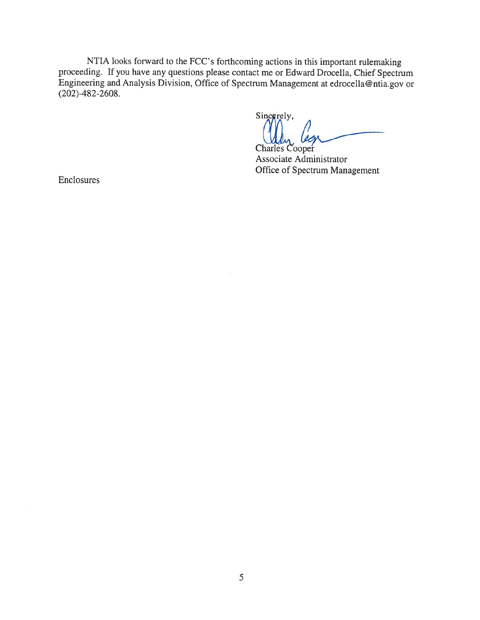NTIA looks forward to the FCC's forthcoming actions in this important rulemaking proceeding. If you have any questions please contact me or Edward Drocella, Chief Spectrum Engineering and Analysis Division, Office of Spectrum Management at edrocella@ntia.gov or  $(202) - 482 - 2608.$ 

Sincerely, **Charles Cooper** 

Associate Administrator Office of Spectrum Management

Enclosures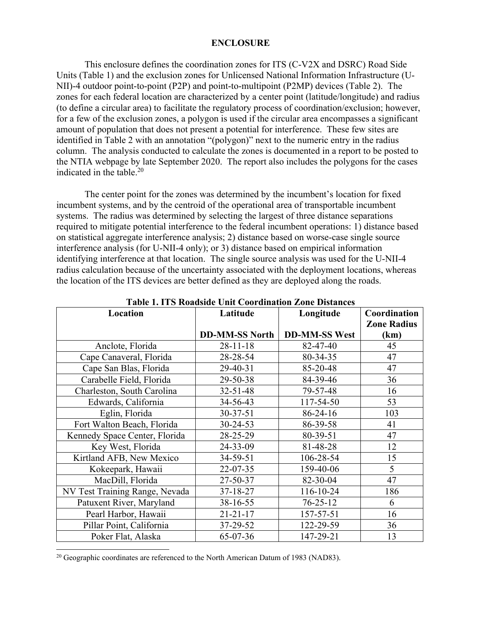#### **ENCLOSURE**

This enclosure defines the coordination zones for ITS (C-V2X and DSRC) Road Side Units (Table 1) and the exclusion zones for Unlicensed National Information Infrastructure (U-NII)-4 outdoor point-to-point (P2P) and point-to-multipoint (P2MP) devices (Table 2). The zones for each federal location are characterized by a center point (latitude/longitude) and radius (to define a circular area) to facilitate the regulatory process of coordination/exclusion; however, for a few of the exclusion zones, a polygon is used if the circular area encompasses a significant amount of population that does not present a potential for interference. These few sites are identified in Table 2 with an annotation "(polygon)" next to the numeric entry in the radius column. The analysis conducted to calculate the zones is documented in a report to be posted to the NTIA webpage by late September 2020. The report also includes the polygons for the cases indicated in the table.20

The center point for the zones was determined by the incumbent's location for fixed incumbent systems, and by the centroid of the operational area of transportable incumbent systems. The radius was determined by selecting the largest of three distance separations required to mitigate potential interference to the federal incumbent operations: 1) distance based on statistical aggregate interference analysis; 2) distance based on worse-case single source interference analysis (for U-NII-4 only); or 3) distance based on empirical information identifying interference at that location. The single source analysis was used for the U-NII-4 radius calculation because of the uncertainty associated with the deployment locations, whereas the location of the ITS devices are better defined as they are deployed along the roads.

|                                | Table 1. 115 Noadside Unit Coordination Zone Distances |                      |                    |
|--------------------------------|--------------------------------------------------------|----------------------|--------------------|
| Location                       | Latitude                                               | Longitude            | Coordination       |
|                                |                                                        |                      | <b>Zone Radius</b> |
|                                | <b>DD-MM-SS North</b>                                  | <b>DD-MM-SS West</b> | (km)               |
| Anclote, Florida               | $28 - 11 - 18$                                         | 82-47-40             | 45                 |
| Cape Canaveral, Florida        | 28-28-54                                               | 80-34-35             | 47                 |
| Cape San Blas, Florida         | 29-40-31                                               | 85-20-48             | 47                 |
| Carabelle Field, Florida       | 29-50-38                                               | 84-39-46             | 36                 |
| Charleston, South Carolina     | $32 - 51 - 48$                                         | 79-57-48             | 16                 |
| Edwards, California            | 34-56-43                                               | 117-54-50            | 53                 |
| Eglin, Florida                 | $30 - 37 - 51$                                         | 86-24-16             | 103                |
| Fort Walton Beach, Florida     | $30 - 24 - 53$                                         | 86-39-58             | 41                 |
| Kennedy Space Center, Florida  | 28-25-29                                               | 80-39-51             | 47                 |
| Key West, Florida              | 24-33-09                                               | 81-48-28             | 12                 |
| Kirtland AFB, New Mexico       | 34-59-51                                               | 106-28-54            | 15                 |
| Kokeepark, Hawaii              | $22 - 07 - 35$                                         | 159-40-06            | 5                  |
| MacDill, Florida               | 27-50-37                                               | 82-30-04             | 47                 |
| NV Test Training Range, Nevada | 37-18-27                                               | 116-10-24            | 186                |
| Patuxent River, Maryland       | $38-16-55$                                             | $76 - 25 - 12$       | 6                  |
| Pearl Harbor, Hawaii           | $21 - 21 - 17$                                         | 157-57-51            | 16                 |
| Pillar Point, California       | 37-29-52                                               | 122-29-59            | 36                 |
| Poker Flat, Alaska             | 65-07-36                                               | 147-29-21            | 13                 |

**Table 1. ITS Roadside Unit Coordination Zone Distances** 

<sup>&</sup>lt;sup>20</sup> Geographic coordinates are referenced to the North American Datum of 1983 (NAD83).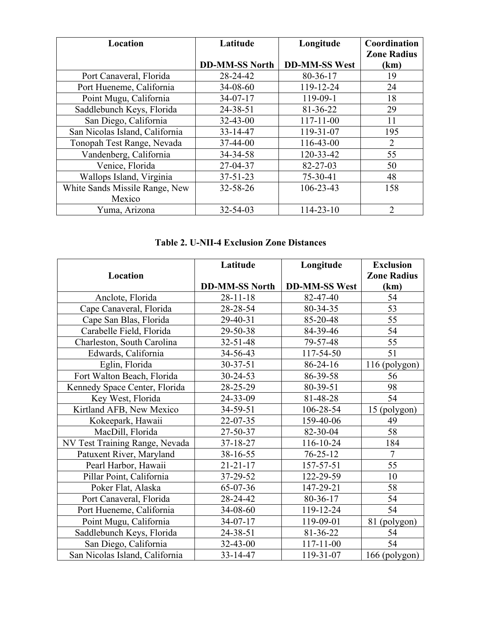| Location                       | Latitude              | Longitude            | Coordination       |
|--------------------------------|-----------------------|----------------------|--------------------|
|                                |                       |                      | <b>Zone Radius</b> |
|                                | <b>DD-MM-SS North</b> | <b>DD-MM-SS West</b> | (km)               |
| Port Canaveral, Florida        | 28-24-42              | 80-36-17             | 19                 |
| Port Hueneme, California       | $34 - 08 - 60$        | 119-12-24            | 24                 |
| Point Mugu, California         | $34-07-17$            | 119-09-1             | 18                 |
| Saddlebunch Keys, Florida      | 24-38-51              | 81-36-22             | 29                 |
| San Diego, California          | $32 - 43 - 00$        | $117 - 11 - 00$      | 11                 |
| San Nicolas Island, California | 33-14-47              | 119-31-07            | 195                |
| Tonopah Test Range, Nevada     | $37 - 44 - 00$        | 116-43-00            | $\overline{2}$     |
| Vandenberg, California         | $34 - 34 - 58$        | 120-33-42            | 55                 |
| Venice, Florida                | 27-04-37              | 82-27-03             | 50                 |
| Wallops Island, Virginia       | $37 - 51 - 23$        | 75-30-41             | 48                 |
| White Sands Missile Range, New | $32 - 58 - 26$        | 106-23-43            | 158                |
| Mexico                         |                       |                      |                    |
| Yuma, Arizona                  | $32 - 54 - 03$        | $114 - 23 - 10$      | $\overline{2}$     |

## **Table 2. U-NII-4 Exclusion Zone Distances**

|                                | Latitude              | Longitude            | <b>Exclusion</b>   |
|--------------------------------|-----------------------|----------------------|--------------------|
| Location                       |                       |                      | <b>Zone Radius</b> |
|                                | <b>DD-MM-SS North</b> | <b>DD-MM-SS West</b> | (km)               |
| Anclote, Florida               | $28 - 11 - 18$        | 82-47-40             | 54                 |
| Cape Canaveral, Florida        | 28-28-54              | 80-34-35             | 53                 |
| Cape San Blas, Florida         | 29-40-31              | 85-20-48             | 55                 |
| Carabelle Field, Florida       | 29-50-38              | 84-39-46             | 54                 |
| Charleston, South Carolina     | 32-51-48              | 79-57-48             | 55                 |
| Edwards, California            | 34-56-43              | 117-54-50            | 51                 |
| Eglin, Florida                 | $30 - 37 - 51$        | 86-24-16             | 116 (polygon)      |
| Fort Walton Beach, Florida     | $30 - 24 - 53$        | 86-39-58             | 56                 |
| Kennedy Space Center, Florida  | 28-25-29              | 80-39-51             | 98                 |
| Key West, Florida              | 24-33-09              | 81-48-28             | 54                 |
| Kirtland AFB, New Mexico       | 34-59-51              | 106-28-54            | 15 (polygon)       |
| Kokeepark, Hawaii              | 22-07-35              | 159-40-06            | 49                 |
| MacDill, Florida               | 27-50-37              | 82-30-04             | 58                 |
| NV Test Training Range, Nevada | 37-18-27              | 116-10-24            | 184                |
| Patuxent River, Maryland       | 38-16-55              | $76 - 25 - 12$       | $\overline{7}$     |
| Pearl Harbor, Hawaii           | $21 - 21 - 17$        | 157-57-51            | 55                 |
| Pillar Point, California       | 37-29-52              | 122-29-59            | 10                 |
| Poker Flat, Alaska             | 65-07-36              | 147-29-21            | 58                 |
| Port Canaveral, Florida        | 28-24-42              | 80-36-17             | 54                 |
| Port Hueneme, California       | 34-08-60              | 119-12-24            | 54                 |
| Point Mugu, California         | 34-07-17              | 119-09-01            | 81 (polygon)       |
| Saddlebunch Keys, Florida      | 24-38-51              | 81-36-22             | 54                 |
| San Diego, California          | 32-43-00              | $117 - 11 - 00$      | 54                 |
| San Nicolas Island, California | 33-14-47              | 119-31-07            | 166 (polygon)      |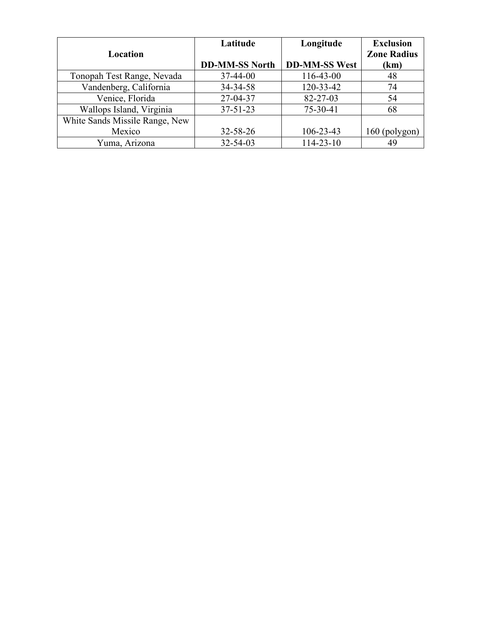|                                | Latitude              | Longitude            | <b>Exclusion</b>   |
|--------------------------------|-----------------------|----------------------|--------------------|
| Location                       |                       |                      | <b>Zone Radius</b> |
|                                | <b>DD-MM-SS North</b> | <b>DD-MM-SS West</b> | (km)               |
| Tonopah Test Range, Nevada     | $37 - 44 - 00$        | 116-43-00            | 48                 |
| Vandenberg, California         | 34-34-58              | 120-33-42            | 74                 |
| Venice, Florida                | 27-04-37              | 82-27-03             | 54                 |
| Wallops Island, Virginia       | $37 - 51 - 23$        | 75-30-41             | 68                 |
| White Sands Missile Range, New |                       |                      |                    |
| Mexico                         | $32 - 58 - 26$        | $106 - 23 - 43$      | $160$ (polygon)    |
| Yuma, Arizona                  | $32 - 54 - 03$        | 114-23-10            | 49                 |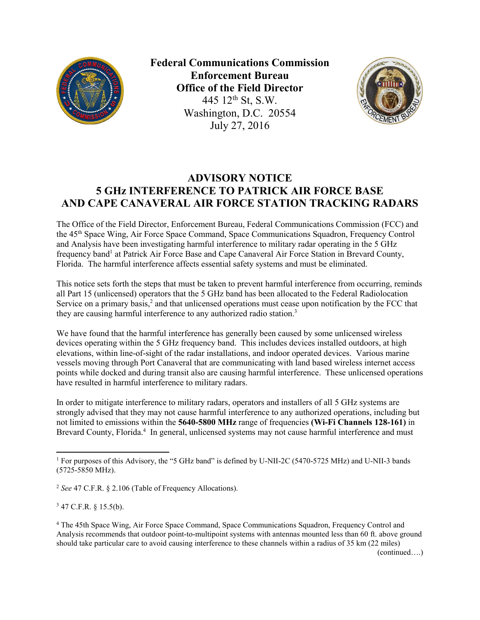

**Federal Communications Commission Enforcement Bureau Office of the Field Director** 445 12<sup>th</sup> St, S.W. Washington, D.C. 20554 July 27, 2016



# **ADVISORY NOTICE 5 GHz INTERFERENCE TO PATRICK AIR FORCE BASE AND CAPE CANAVERAL AIR FORCE STATION TRACKING RADARS**

The Office of the Field Director, Enforcement Bureau, Federal Communications Commission (FCC) and the 45th Space Wing, Air Force Space Command, Space Communications Squadron, Frequency Control and Analysis have been investigating harmful interference to military radar operating in the 5 GHz frequency band<sup>1</sup> at Patrick Air Force Base and Cape Canaveral Air Force Station in Brevard County, Florida. The harmful interference affects essential safety systems and must be eliminated.

This notice sets forth the steps that must be taken to prevent harmful interference from occurring, reminds all Part 15 (unlicensed) operators that the 5 GHz band has been allocated to the Federal Radiolocation Service on a primary basis, $2$  and that unlicensed operations must cease upon notification by the FCC that they are causing harmful interference to any authorized radio station.<sup>3</sup>

We have found that the harmful interference has generally been caused by some unlicensed wireless devices operating within the 5 GHz frequency band. This includes devices installed outdoors, at high elevations, within line-of-sight of the radar installations, and indoor operated devices. Various marine vessels moving through Port Canaveral that are communicating with land based wireless internet access points while docked and during transit also are causing harmful interference. These unlicensed operations have resulted in harmful interference to military radars.

In order to mitigate interference to military radars, operators and installers of all 5 GHz systems are strongly advised that they may not cause harmful interference to any authorized operations, including but not limited to emissions within the **5640-5800 MHz** range of frequencies **(Wi-Fi Channels 128-161)** in Brevard County, Florida.<sup>4</sup> In general, unlicensed systems may not cause harmful interference and must

<sup>2</sup> *See* 47 C.F.R. § 2.106 (Table of Frequency Allocations).

<sup>3</sup> 47 C.F.R. § 15.5(b).

 $\overline{a}$ 

(continued….)

<sup>&</sup>lt;sup>1</sup> For purposes of this Advisory, the "5 GHz band" is defined by U-NII-2C (5470-5725 MHz) and U-NII-3 bands (5725-5850 MHz).

<sup>4</sup> The 45th Space Wing, Air Force Space Command, Space Communications Squadron, Frequency Control and Analysis recommends that outdoor point-to-multipoint systems with antennas mounted less than 60 ft. above ground should take particular care to avoid causing interference to these channels within a radius of 35 km (22 miles)